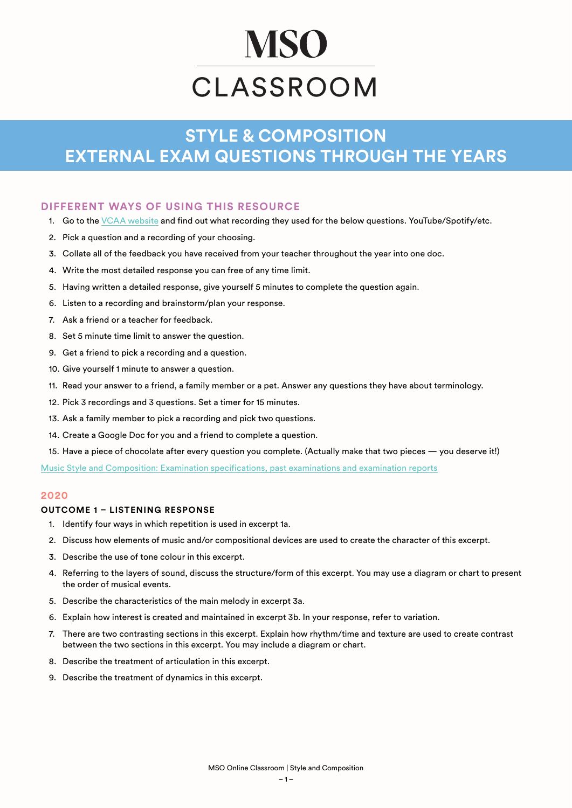# **MSO** CLASSROOM

# **STYLE & COMPOSITION EXTERNAL EXAM QUESTIONS THROUGH THE YEARS**

# **DIFFERENT WAYS OF USING THIS RESOURCE**

- 1. Go to the [VCAA website](https://www.vcaa.vic.edu.au/assessment/vce-assessment/past-examinations/Pages/Music-Style-and-Composition.aspx) and find out what recording they used for the below questions. YouTube/Spotify/etc.
- 2. Pick a question and a recording of your choosing.
- 3. Collate all of the feedback you have received from your teacher throughout the year into one doc.
- 4. Write the most detailed response you can free of any time limit.
- 5. Having written a detailed response, give yourself 5 minutes to complete the question again.
- 6. Listen to a recording and brainstorm/plan your response.
- 7. Ask a friend or a teacher for feedback.
- 8. Set 5 minute time limit to answer the question.
- 9. Get a friend to pick a recording and a question.
- 10. Give yourself 1 minute to answer a question.
- 11. Read your answer to a friend, a family member or a pet. Answer any questions they have about terminology.
- 12. Pick 3 recordings and 3 questions. Set a timer for 15 minutes.
- 13. Ask a family member to pick a recording and pick two questions.
- 14. Create a Google Doc for you and a friend to complete a question.
- 15. Have a piece of chocolate after every question you complete. (Actually make that two pieces you deserve it!)

[Music Style and Composition: Examination specifications, past examinations and examination reports](https://www.vcaa.vic.edu.au/assessment/vce-assessment/past-examinations/Pages/Music-Style-and-Composition.aspx)

# **2020**

# **OUTCOME 1 – LISTENING RESPONSE**

- 1. Identify four ways in which repetition is used in excerpt 1a.
- 2. Discuss how elements of music and/or compositional devices are used to create the character of this excerpt.
- 3. Describe the use of tone colour in this excerpt.
- 4. Referring to the layers of sound, discuss the structure/form of this excerpt. You may use a diagram or chart to present the order of musical events.
- 5. Describe the characteristics of the main melody in excerpt 3a.
- 6. Explain how interest is created and maintained in excerpt 3b. In your response, refer to variation.
- 7. There are two contrasting sections in this excerpt. Explain how rhythm/time and texture are used to create contrast between the two sections in this excerpt. You may include a diagram or chart.
- 8. Describe the treatment of articulation in this excerpt.
- 9. Describe the treatment of dynamics in this excerpt.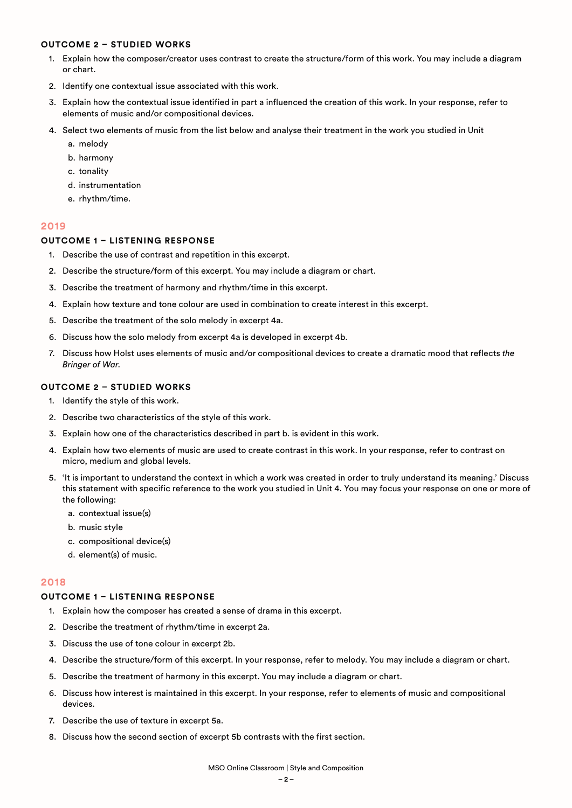#### **OUTCOME 2 – STUDIED WORKS**

- 1. Explain how the composer/creator uses contrast to create the structure/form of this work. You may include a diagram or chart.
- 2. Identify one contextual issue associated with this work.
- 3. Explain how the contextual issue identified in part a influenced the creation of this work. In your response, refer to elements of music and/or compositional devices.
- 4. Select two elements of music from the list below and analyse their treatment in the work you studied in Unit
	- a. melody
	- b. harmony
	- c. tonality
	- d. instrumentation
	- e. rhythm/time.

#### **2019**

# **OUTCOME 1 – LISTENING RESPONSE**

- 1. Describe the use of contrast and repetition in this excerpt.
- 2. Describe the structure/form of this excerpt. You may include a diagram or chart.
- 3. Describe the treatment of harmony and rhythm/time in this excerpt.
- 4. Explain how texture and tone colour are used in combination to create interest in this excerpt.
- 5. Describe the treatment of the solo melody in excerpt 4a.
- 6. Discuss how the solo melody from excerpt 4a is developed in excerpt 4b.
- 7. Discuss how Holst uses elements of music and/or compositional devices to create a dramatic mood that reflects *the Bringer of War*.

# **OUTCOME 2 – STUDIED WORKS**

- 1. Identify the style of this work.
- 2. Describe two characteristics of the style of this work.
- 3. Explain how one of the characteristics described in part b. is evident in this work.
- 4. Explain how two elements of music are used to create contrast in this work. In your response, refer to contrast on micro, medium and global levels.
- 5. 'It is important to understand the context in which a work was created in order to truly understand its meaning.' Discuss this statement with specific reference to the work you studied in Unit 4. You may focus your response on one or more of the following:
	- a. contextual issue(s)
	- b. music style
	- c. compositional device(s)
	- d. element(s) of music.

# **2018**

#### **OUTCOME 1 – LISTENING RESPONSE**

- 1. Explain how the composer has created a sense of drama in this excerpt.
- 2. Describe the treatment of rhythm/time in excerpt 2a.
- 3. Discuss the use of tone colour in excerpt 2b.
- 4. Describe the structure/form of this excerpt. In your response, refer to melody. You may include a diagram or chart.
- 5. Describe the treatment of harmony in this excerpt. You may include a diagram or chart.
- 6. Discuss how interest is maintained in this excerpt. In your response, refer to elements of music and compositional devices.
- 7. Describe the use of texture in excerpt 5a.
- 8. Discuss how the second section of excerpt 5b contrasts with the first section.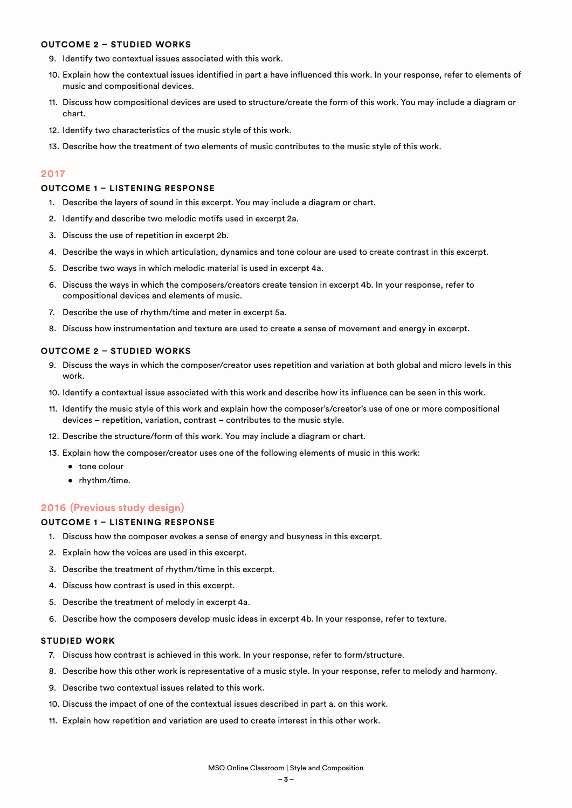#### **OUTCOME 2 – STUDIED WORKS**

- 9. Identify two contextual issues associated with this work.
- 10. Explain how the contextual issues identified in part a have influenced this work. In your response, refer to elements of music and compositional devices.
- 11. Discuss how compositional devices are used to structure/create the form of this work. You may include a diagram or chart.
- 12. Identify two characteristics of the music style of this work.
- 13. Describe how the treatment of two elements of music contributes to the music style of this work.

# **2017**

# **OUTCOME 1 – LISTENING RESPONSE**

- 1. Describe the layers of sound in this excerpt. You may include a diagram or chart.
- 2. Identify and describe two melodic motifs used in excerpt 2a.
- 3. Discuss the use of repetition in excerpt 2b.
- 4. Describe the ways in which articulation, dynamics and tone colour are used to create contrast in this excerpt.
- 5. Describe two ways in which melodic material is used in excerpt 4a.
- 6. Discuss the ways in which the composers/creators create tension in excerpt 4b. In your response, refer to compositional devices and elements of music.
- 7. Describe the use of rhythm/time and meter in excerpt 5a.
- 8. Discuss how instrumentation and texture are used to create a sense of movement and energy in excerpt.

# **OUTCOME 2 – STUDIED WORKS**

- 9. Discuss the ways in which the composer/creator uses repetition and variation at both global and micro levels in this work.
- 10. Identify a contextual issue associated with this work and describe how its influence can be seen in this work.
- 11. Identify the music style of this work and explain how the composer's/creator's use of one or more compositional devices – repetition, variation, contrast – contributes to the music style.
- 12. Describe the structure/form of this work. You may include a diagram or chart.
- 13. Explain how the composer/creator uses one of the following elements of music in this work:
	- tone colour
		- rhythm/time.

# **2016 (Previous study design)**

# **OUTCOME 1 – LISTENING RESPONSE**

- 1. Discuss how the composer evokes a sense of energy and busyness in this excerpt.
- 2. Explain how the voices are used in this excerpt.
- 3. Describe the treatment of rhythm/time in this excerpt.
- 4. Discuss how contrast is used in this excerpt.
- 5. Describe the treatment of melody in excerpt 4a.
- 6. Describe how the composers develop music ideas in excerpt 4b. In your response, refer to texture.

- 7. Discuss how contrast is achieved in this work. In your response, refer to form/structure.
- 8. Describe how this other work is representative of a music style. In your response, refer to melody and harmony.
- 9. Describe two contextual issues related to this work.
- 10. Discuss the impact of one of the contextual issues described in part a. on this work.
- 11. Explain how repetition and variation are used to create interest in this other work.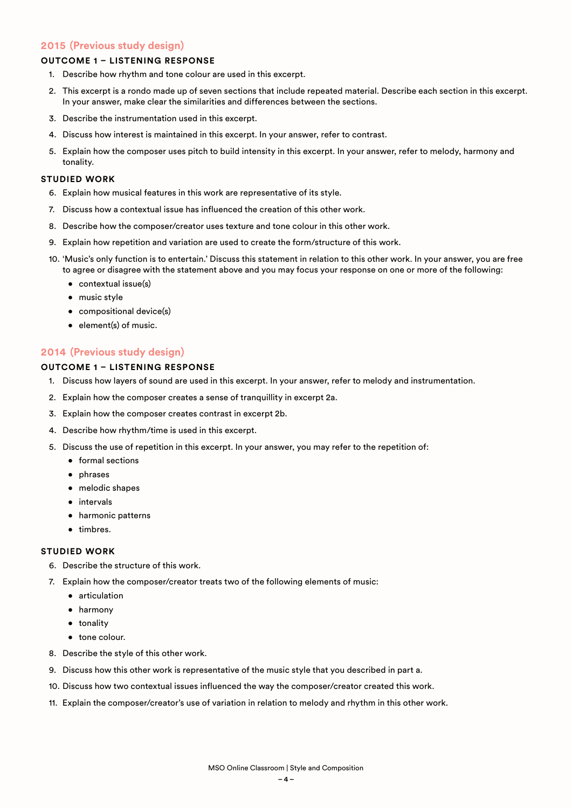# **2015 (Previous study design)**

# **OUTCOME 1 – LISTENING RESPONSE**

- 1. Describe how rhythm and tone colour are used in this excerpt.
- 2. This excerpt is a rondo made up of seven sections that include repeated material. Describe each section in this excerpt. In your answer, make clear the similarities and differences between the sections.
- 3. Describe the instrumentation used in this excerpt.
- 4. Discuss how interest is maintained in this excerpt. In your answer, refer to contrast.
- 5. Explain how the composer uses pitch to build intensity in this excerpt. In your answer, refer to melody, harmony and tonality.

#### **STUDIED WORK**

- 6. Explain how musical features in this work are representative of its style.
- 7. Discuss how a contextual issue has influenced the creation of this other work.
- 8. Describe how the composer/creator uses texture and tone colour in this other work.
- 9. Explain how repetition and variation are used to create the form/structure of this work.
- 10. 'Music's only function is to entertain.' Discuss this statement in relation to this other work. In your answer, you are free to agree or disagree with the statement above and you may focus your response on one or more of the following:
	- contextual issue(s)
	- music style
	- compositional device(s)
	- element(s) of music.

# **2014 (Previous study design)**

# **OUTCOME 1 – LISTENING RESPONSE**

- 1. Discuss how layers of sound are used in this excerpt. In your answer, refer to melody and instrumentation.
- 2. Explain how the composer creates a sense of tranquillity in excerpt 2a.
- 3. Explain how the composer creates contrast in excerpt 2b.
- 4. Describe how rhythm/time is used in this excerpt.
- 5. Discuss the use of repetition in this excerpt. In your answer, you may refer to the repetition of:
	- formal sections
	- phrases
	- melodic shapes
	- intervals
	- harmonic patterns
	- timbres.

- 6. Describe the structure of this work.
- 7. Explain how the composer/creator treats two of the following elements of music:
	- articulation
	- harmony
	- tonality
	- tone colour.
- 8. Describe the style of this other work.
- 9. Discuss how this other work is representative of the music style that you described in part a.
- 10. Discuss how two contextual issues influenced the way the composer/creator created this work.
- 11. Explain the composer/creator's use of variation in relation to melody and rhythm in this other work.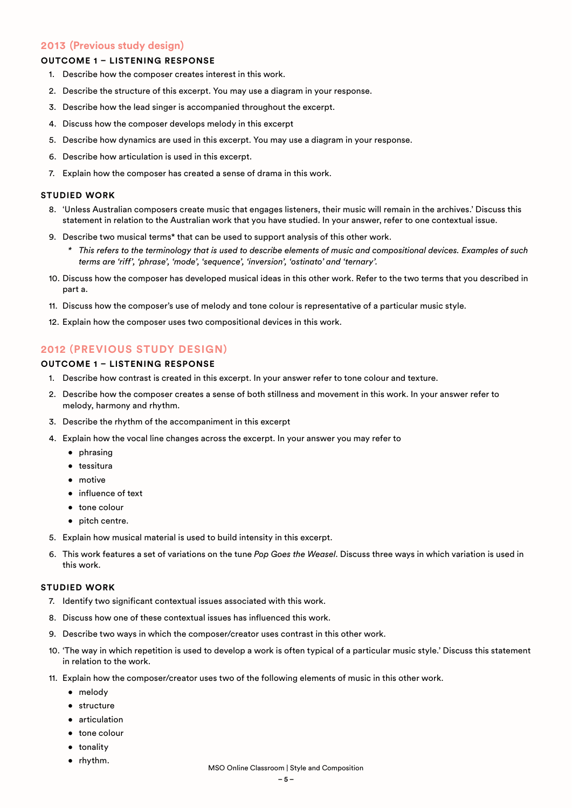# **2013 (Previous study design)**

# **OUTCOME 1 – LISTENING RESPONSE**

- 1. Describe how the composer creates interest in this work.
- 2. Describe the structure of this excerpt. You may use a diagram in your response.
- 3. Describe how the lead singer is accompanied throughout the excerpt.
- 4. Discuss how the composer develops melody in this excerpt
- 5. Describe how dynamics are used in this excerpt. You may use a diagram in your response.
- 6. Describe how articulation is used in this excerpt.
- 7. Explain how the composer has created a sense of drama in this work.

#### **STUDIED WORK**

- 8. 'Unless Australian composers create music that engages listeners, their music will remain in the archives.' Discuss this statement in relation to the Australian work that you have studied. In your answer, refer to one contextual issue.
- 9. Describe two musical terms\* that can be used to support analysis of this other work.
	- *\* This refers to the terminology that is used to describe elements of music and compositional devices. Examples of such terms are 'riff', 'phrase', 'mode', 'sequence', 'inversion', 'ostinato' and 'ternary'.*
- 10. Discuss how the composer has developed musical ideas in this other work. Refer to the two terms that you described in part a.
- 11. Discuss how the composer's use of melody and tone colour is representative of a particular music style.
- 12. Explain how the composer uses two compositional devices in this work.

# **2012 (PREVIOUS STUDY DESIGN)**

# **OUTCOME 1 – LISTENING RESPONSE**

- 1. Describe how contrast is created in this excerpt. In your answer refer to tone colour and texture.
- 2. Describe how the composer creates a sense of both stillness and movement in this work. In your answer refer to melody, harmony and rhythm.
- 3. Describe the rhythm of the accompaniment in this excerpt
- 4. Explain how the vocal line changes across the excerpt. In your answer you may refer to
	- phrasing
	- tessitura
	- motive
	- influence of text
	- tone colour
	- pitch centre.
- 5. Explain how musical material is used to build intensity in this excerpt.
- 6. This work features a set of variations on the tune *Pop Goes the Weasel*. Discuss three ways in which variation is used in this work.

- 7. Identify two significant contextual issues associated with this work.
- 8. Discuss how one of these contextual issues has influenced this work.
- 9. Describe two ways in which the composer/creator uses contrast in this other work.
- 10. 'The way in which repetition is used to develop a work is often typical of a particular music style.' Discuss this statement in relation to the work.
- 11. Explain how the composer/creator uses two of the following elements of music in this other work.
	- melody
	- structure
	- articulation
	- tone colour
	- tonality
	- rhythm.